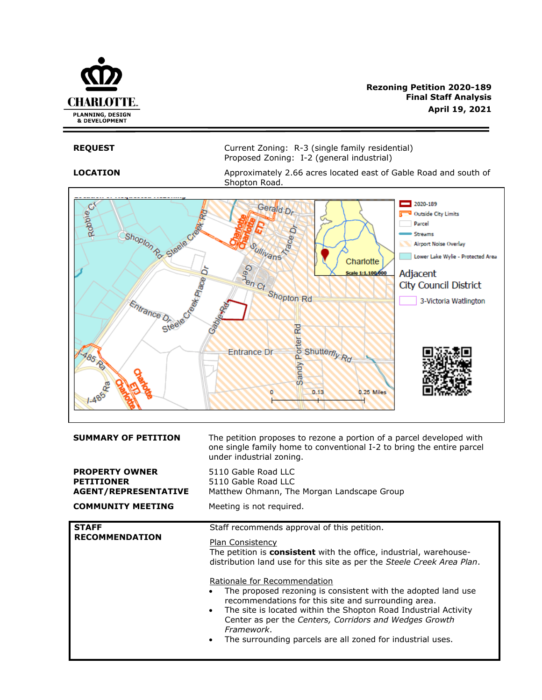

**REQUEST** Current Zoning: R-3 (single family residential) Proposed Zoning: I-2 (general industrial)

**LOCATION** Approximately 2.66 acres located east of Gable Road and south of Shopton Road.



| <b>SUMMARY OF PETITION</b>                                                | The petition proposes to rezone a portion of a parcel developed with<br>one single family home to conventional I-2 to bring the entire parcel<br>under industrial zoning.                                                                                                                                                                                                                                                                                                                                                                                                                                                |  |
|---------------------------------------------------------------------------|--------------------------------------------------------------------------------------------------------------------------------------------------------------------------------------------------------------------------------------------------------------------------------------------------------------------------------------------------------------------------------------------------------------------------------------------------------------------------------------------------------------------------------------------------------------------------------------------------------------------------|--|
| <b>PROPERTY OWNER</b><br><b>PETITIONER</b><br><b>AGENT/REPRESENTATIVE</b> | 5110 Gable Road LLC<br>5110 Gable Road LLC<br>Matthew Ohmann, The Morgan Landscape Group                                                                                                                                                                                                                                                                                                                                                                                                                                                                                                                                 |  |
| <b>COMMUNITY MEETING</b>                                                  | Meeting is not required.                                                                                                                                                                                                                                                                                                                                                                                                                                                                                                                                                                                                 |  |
| <b>STAFF</b><br><b>RECOMMENDATION</b>                                     | Staff recommends approval of this petition.<br><b>Plan Consistency</b><br>The petition is <b>consistent</b> with the office, industrial, warehouse-<br>distribution land use for this site as per the Steele Creek Area Plan.<br>Rationale for Recommendation<br>The proposed rezoning is consistent with the adopted land use<br>recommendations for this site and surrounding area.<br>The site is located within the Shopton Road Industrial Activity<br>$\bullet$<br>Center as per the Centers, Corridors and Wedges Growth<br>Framework.<br>The surrounding parcels are all zoned for industrial uses.<br>$\bullet$ |  |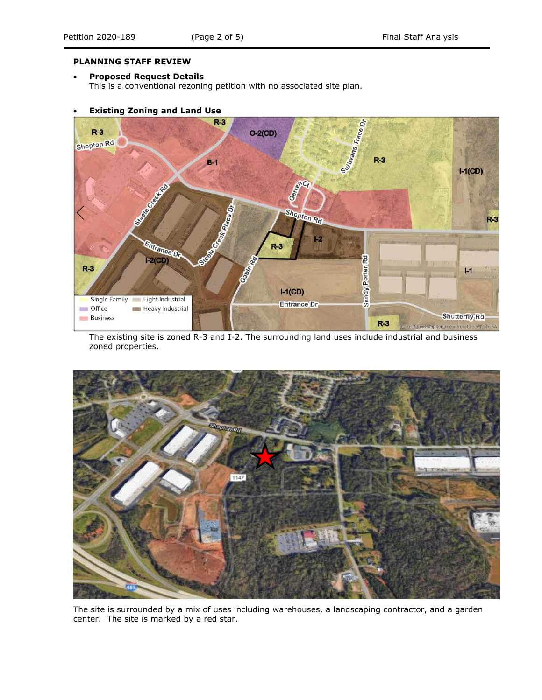#### **PLANNING STAFF REVIEW**

#### • **Proposed Request Details**

This is a conventional rezoning petition with no associated site plan.

## • **Existing Zoning and Land Use**



The existing site is zoned R-3 and I-2. The surrounding land uses include industrial and business zoned properties.



The site is surrounded by a mix of uses including warehouses, a landscaping contractor, and a garden center. The site is marked by a red star.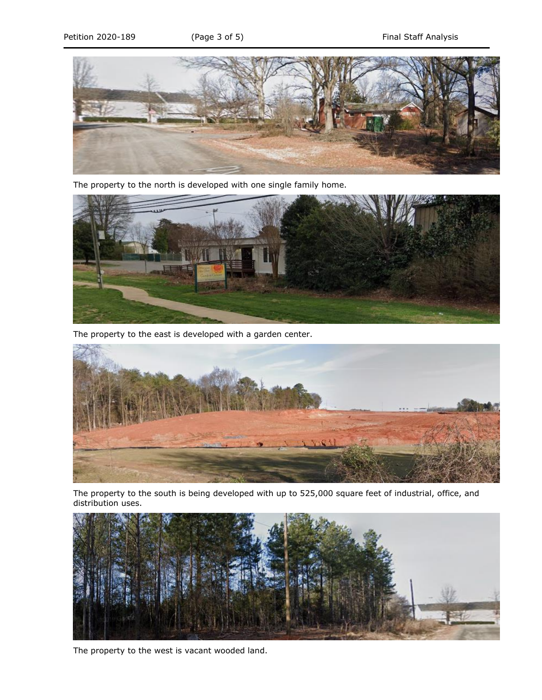

The property to the north is developed with one single family home.



The property to the east is developed with a garden center.



The property to the south is being developed with up to 525,000 square feet of industrial, office, and distribution uses.



The property to the west is vacant wooded land.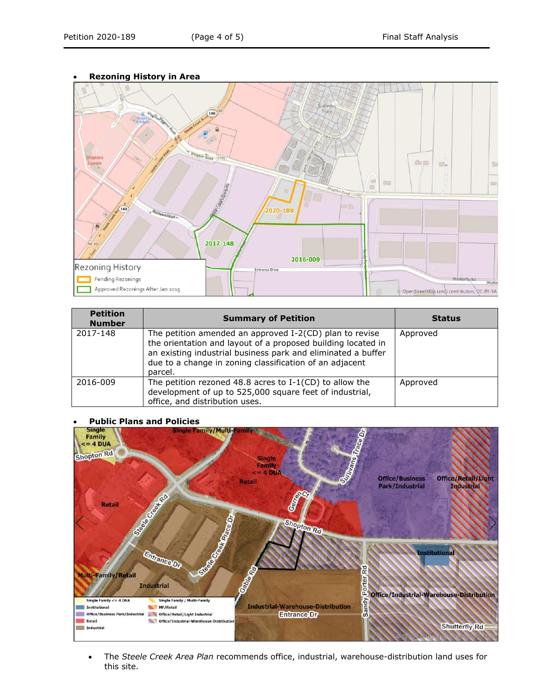## • **Rezoning History in Area**



| <b>Petition</b><br><b>Number</b> | <b>Summary of Petition</b>                                                                                                                                                                                                                                    | <b>Status</b> |
|----------------------------------|---------------------------------------------------------------------------------------------------------------------------------------------------------------------------------------------------------------------------------------------------------------|---------------|
| 2017-148                         | The petition amended an approved I-2(CD) plan to revise<br>the orientation and layout of a proposed building located in<br>an existing industrial business park and eliminated a buffer<br>due to a change in zoning classification of an adjacent<br>parcel. | Approved      |
| 2016-009                         | The petition rezoned 48.8 acres to $I-1$ (CD) to allow the<br>development of up to 525,000 square feet of industrial,<br>office, and distribution uses.                                                                                                       | Approved      |

# • **Public Plans and Policies**



• The *Steele Creek Area Plan* recommends office, industrial, warehouse-distribution land uses for this site.